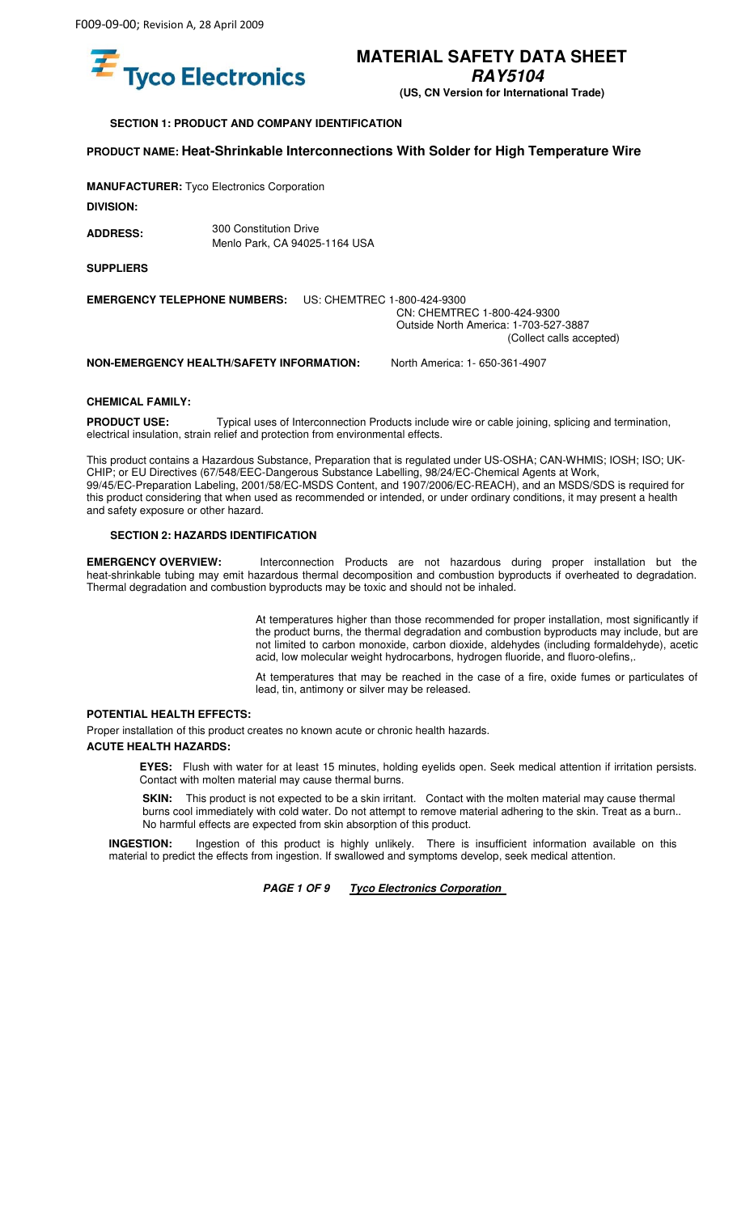

**RAY5104** 

**(US, CN Version for International Trade)** 

**SECTION 1: PRODUCT AND COMPANY IDENTIFICATION** 

### **PRODUCT NAME: Heat-Shrinkable Interconnections With Solder for High Temperature Wire**

**MANUFACTURER:** Tyco Electronics Corporation

**DIVISION:** 

300 Constitution Drive **ADDRESS:**  Menlo Park, CA 94025-1164 USA

**SUPPLIERS** 

**EMERGENCY TELEPHONE NUMBERS:** US: CHEMTREC 1-800-424-9300 CN: CHEMTREC 1-800-424-9300 Outside North America: 1-703-527-3887

(Collect calls accepted)

**NON-EMERGENCY HEALTH/SAFETY INFORMATION:** North America: 1- 650-361-4907

### **CHEMICAL FAMILY:**

**PRODUCT USE:** Typical uses of Interconnection Products include wire or cable joining, splicing and termination, electrical insulation, strain relief and protection from environmental effects.

This product contains a Hazardous Substance, Preparation that is regulated under US-OSHA; CAN-WHMIS; IOSH; ISO; UK-CHIP; or EU Directives (67/548/EEC-Dangerous Substance Labelling, 98/24/EC-Chemical Agents at Work, 99/45/EC-Preparation Labeling, 2001/58/EC-MSDS Content, and 1907/2006/EC-REACH), and an MSDS/SDS is required for this product considering that when used as recommended or intended, or under ordinary conditions, it may present a health and safety exposure or other hazard.

### **SECTION 2: HAZARDS IDENTIFICATION**

**EMERGENCY OVERVIEW:** Interconnection Products are not hazardous during proper installation but the heat-shrinkable tubing may emit hazardous thermal decomposition and combustion byproducts if overheated to degradation. Thermal degradation and combustion byproducts may be toxic and should not be inhaled.

> At temperatures higher than those recommended for proper installation, most significantly if the product burns, the thermal degradation and combustion byproducts may include, but are not limited to carbon monoxide, carbon dioxide, aldehydes (including formaldehyde), acetic acid, low molecular weight hydrocarbons, hydrogen fluoride, and fluoro-olefins,.

> At temperatures that may be reached in the case of a fire, oxide fumes or particulates of lead, tin, antimony or silver may be released.

### **POTENTIAL HEALTH EFFECTS:**

Proper installation of this product creates no known acute or chronic health hazards.

### **ACUTE HEALTH HAZARDS:**

**EYES:** Flush with water for at least 15 minutes, holding eyelids open. Seek medical attention if irritation persists. Contact with molten material may cause thermal burns.

**SKIN:** This product is not expected to be a skin irritant. Contact with the molten material may cause thermal burns cool immediately with cold water. Do not attempt to remove material adhering to the skin. Treat as a burn.. No harmful effects are expected from skin absorption of this product.

**INGESTION:** Ingestion of this product is highly unlikely. There is insufficient information available on this material to predict the effects from ingestion. If swallowed and symptoms develop, seek medical attention.

**PAGE 1 OF 9 Tyco Electronics Corporation**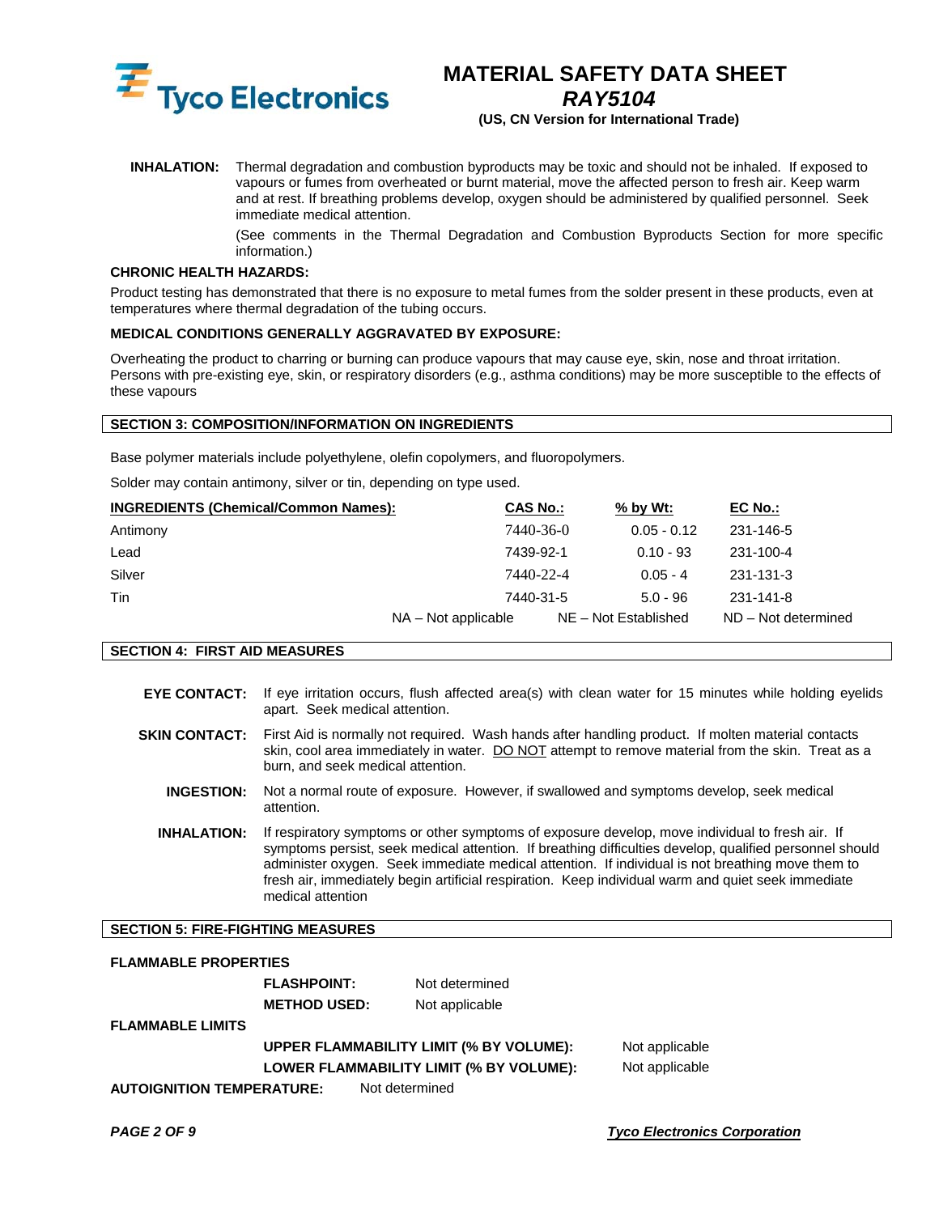

*RAY5104* 

**(US, CN Version for International Trade)** 

**INHALATION:** Thermal degradation and combustion byproducts may be toxic and should not be inhaled. If exposed to vapours or fumes from overheated or burnt material, move the affected person to fresh air. Keep warm and at rest. If breathing problems develop, oxygen should be administered by qualified personnel. Seek immediate medical attention.

> (See comments in the Thermal Degradation and Combustion Byproducts Section for more specific information.)

### **CHRONIC HEALTH HAZARDS:**

Product testing has demonstrated that there is no exposure to metal fumes from the solder present in these products, even at temperatures where thermal degradation of the tubing occurs.

### **MEDICAL CONDITIONS GENERALLY AGGRAVATED BY EXPOSURE:**

Overheating the product to charring or burning can produce vapours that may cause eye, skin, nose and throat irritation. Persons with pre-existing eye, skin, or respiratory disorders (e.g., asthma conditions) may be more susceptible to the effects of these vapours

### **SECTION 3: COMPOSITION/INFORMATION ON INGREDIENTS**

Base polymer materials include polyethylene, olefin copolymers, and fluoropolymers.

Solder may contain antimony, silver or tin, depending on type used.

| <b>INGREDIENTS (Chemical/Common Names):</b> | <b>CAS No.:</b>     | $%$ by Wt:           | EC No.:             |
|---------------------------------------------|---------------------|----------------------|---------------------|
| Antimony                                    | 7440-36-0           | $0.05 - 0.12$        | 231-146-5           |
| Lead                                        | 7439-92-1           | $0.10 - 93$          | 231-100-4           |
| Silver                                      | 7440-22-4           | $0.05 - 4$           | 231-131-3           |
| Tin                                         | 7440-31-5           | $5.0 - 96$           | 231-141-8           |
|                                             | NA – Not applicable | NE - Not Established | ND - Not determined |

**SECTION 4: FIRST AID MEASURES** 

- **EYE CONTACT:** If eye irritation occurs, flush affected area(s) with clean water for 15 minutes while holding eyelids apart. Seek medical attention.
- **SKIN CONTACT:** First Aid is normally not required. Wash hands after handling product. If molten material contacts skin, cool area immediately in water. DO NOT attempt to remove material from the skin. Treat as a burn, and seek medical attention.
	- **INGESTION:** Not a normal route of exposure. However, if swallowed and symptoms develop, seek medical attention.
	- **INHALATION:** If respiratory symptoms or other symptoms of exposure develop, move individual to fresh air. If symptoms persist, seek medical attention. If breathing difficulties develop, qualified personnel should administer oxygen. Seek immediate medical attention. If individual is not breathing move them to fresh air, immediately begin artificial respiration. Keep individual warm and quiet seek immediate medical attention

### **SECTION 5: FIRE-FIGHTING MEASURES**

### **FLAMMABLE PROPERTIES FLASHPOINT:** Not determined **METHOD USED:** Not applicable **FLAMMABLE LIMITS UPPER FLAMMABILITY LIMIT (% BY VOLUME):** Not applicable **LOWER FLAMMABILITY LIMIT (% BY VOLUME):** Not applicable **AUTOIGNITION TEMPERATURE:** Not determined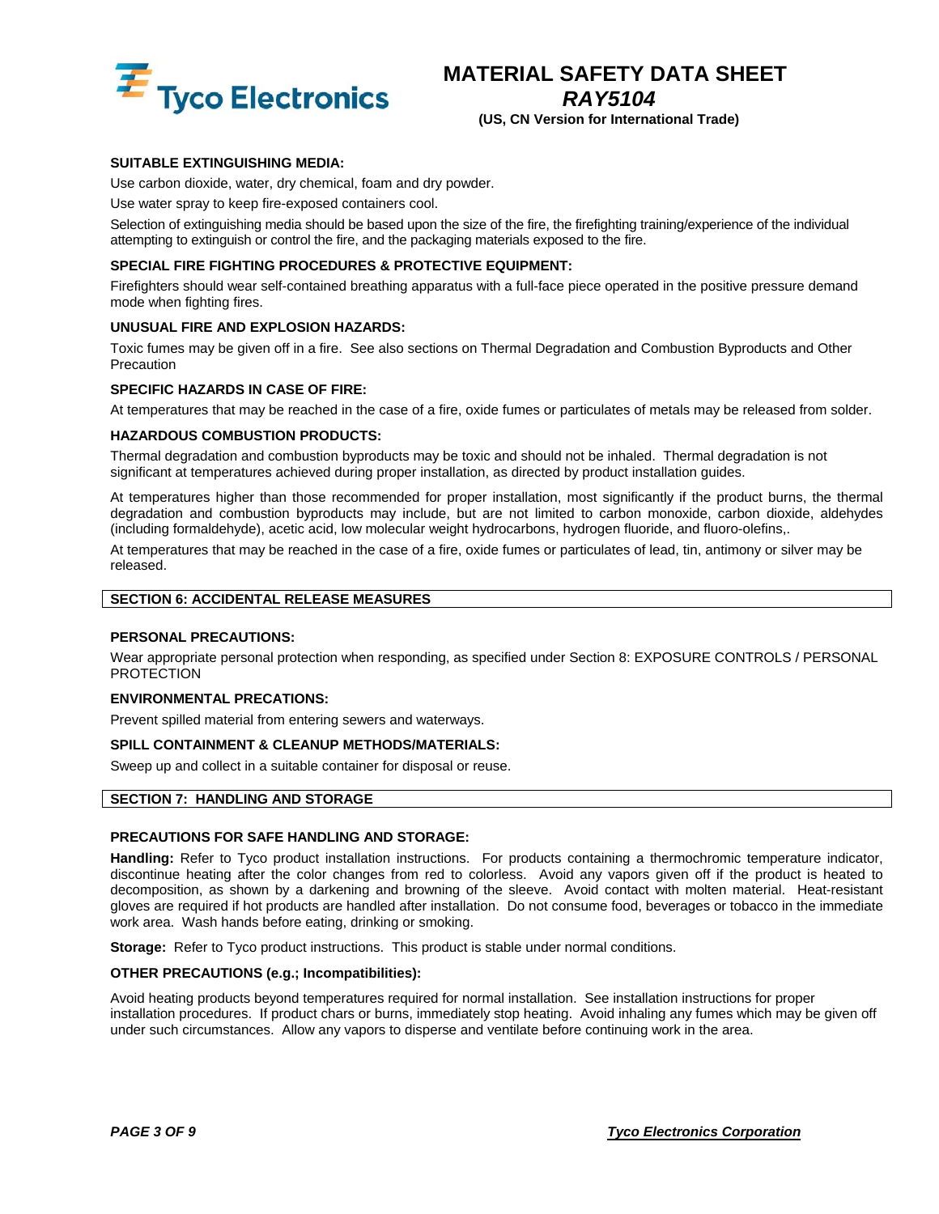

**(US, CN Version for International Trade)** 

### **SUITABLE EXTINGUISHING MEDIA:**

Use carbon dioxide, water, dry chemical, foam and dry powder.

Use water spray to keep fire-exposed containers cool.

Selection of extinguishing media should be based upon the size of the fire, the firefighting training/experience of the individual attempting to extinguish or control the fire, and the packaging materials exposed to the fire.

### **SPECIAL FIRE FIGHTING PROCEDURES & PROTECTIVE EQUIPMENT:**

Firefighters should wear self-contained breathing apparatus with a full-face piece operated in the positive pressure demand mode when fighting fires.

### **UNUSUAL FIRE AND EXPLOSION HAZARDS:**

Toxic fumes may be given off in a fire. See also sections on Thermal Degradation and Combustion Byproducts and Other Precaution

### **SPECIFIC HAZARDS IN CASE OF FIRE:**

At temperatures that may be reached in the case of a fire, oxide fumes or particulates of metals may be released from solder.

### **HAZARDOUS COMBUSTION PRODUCTS:**

Thermal degradation and combustion byproducts may be toxic and should not be inhaled. Thermal degradation is not significant at temperatures achieved during proper installation, as directed by product installation guides.

At temperatures higher than those recommended for proper installation, most significantly if the product burns, the thermal degradation and combustion byproducts may include, but are not limited to carbon monoxide, carbon dioxide, aldehydes (including formaldehyde), acetic acid, low molecular weight hydrocarbons, hydrogen fluoride, and fluoro-olefins,.

At temperatures that may be reached in the case of a fire, oxide fumes or particulates of lead, tin, antimony or silver may be released.

### **SECTION 6: ACCIDENTAL RELEASE MEASURES**

### **PERSONAL PRECAUTIONS:**

Wear appropriate personal protection when responding, as specified under Section 8: EXPOSURE CONTROLS / PERSONAL **PROTECTION** 

### **ENVIRONMENTAL PRECATIONS:**

Prevent spilled material from entering sewers and waterways.

#### **SPILL CONTAINMENT & CLEANUP METHODS/MATERIALS:**

Sweep up and collect in a suitable container for disposal or reuse.

#### **SECTION 7: HANDLING AND STORAGE**

### **PRECAUTIONS FOR SAFE HANDLING AND STORAGE:**

**Handling:** Refer to Tyco product installation instructions. For products containing a thermochromic temperature indicator, discontinue heating after the color changes from red to colorless. Avoid any vapors given off if the product is heated to decomposition, as shown by a darkening and browning of the sleeve. Avoid contact with molten material. Heat-resistant gloves are required if hot products are handled after installation. Do not consume food, beverages or tobacco in the immediate work area. Wash hands before eating, drinking or smoking.

**Storage:** Refer to Tyco product instructions. This product is stable under normal conditions.

#### **OTHER PRECAUTIONS (e.g.; Incompatibilities):**

Avoid heating products beyond temperatures required for normal installation. See installation instructions for proper installation procedures. If product chars or burns, immediately stop heating. Avoid inhaling any fumes which may be given off under such circumstances. Allow any vapors to disperse and ventilate before continuing work in the area.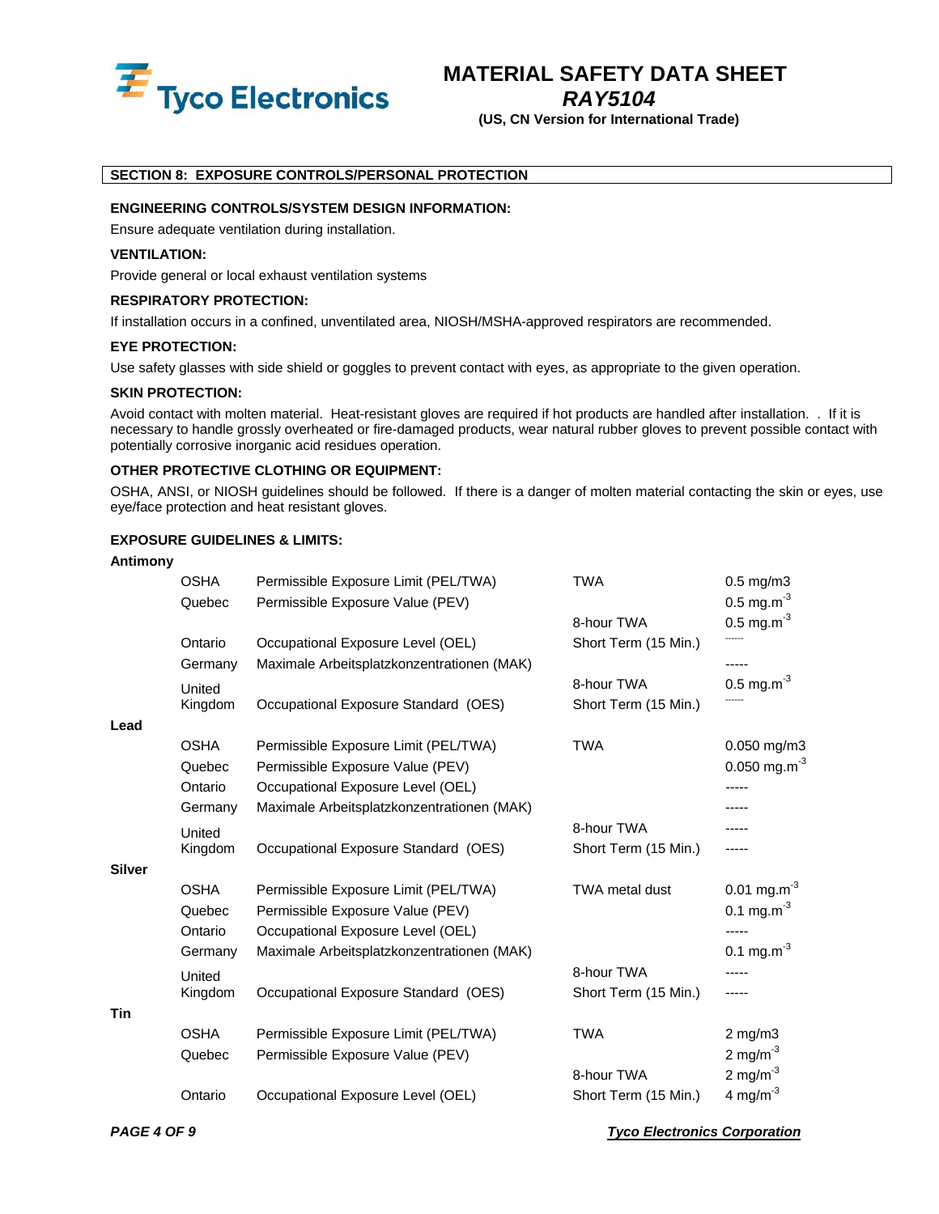

### *RAY5104*

**(US, CN Version for International Trade)** 

### **SECTION 8: EXPOSURE CONTROLS/PERSONAL PROTECTION**

### **ENGINEERING CONTROLS/SYSTEM DESIGN INFORMATION:**

Ensure adequate ventilation during installation.

### **VENTILATION:**

Provide general or local exhaust ventilation systems

### **RESPIRATORY PROTECTION:**

If installation occurs in a confined, unventilated area, NIOSH/MSHA-approved respirators are recommended.

### **EYE PROTECTION:**

Use safety glasses with side shield or goggles to prevent contact with eyes, as appropriate to the given operation.

### **SKIN PROTECTION:**

Avoid contact with molten material. Heat-resistant gloves are required if hot products are handled after installation. . If it is necessary to handle grossly overheated or fire-damaged products, wear natural rubber gloves to prevent possible contact with potentially corrosive inorganic acid residues operation.

### **OTHER PROTECTIVE CLOTHING OR EQUIPMENT:**

OSHA, ANSI, or NIOSH guidelines should be followed. If there is a danger of molten material contacting the skin or eyes, use eye/face protection and heat resistant gloves.

### **EXPOSURE GUIDELINES & LIMITS:**

### **Antimony**

|               | <b>OSHA</b> | Permissible Exposure Limit (PEL/TWA)       | <b>TWA</b>           | $0.5$ mg/m $3$             |
|---------------|-------------|--------------------------------------------|----------------------|----------------------------|
|               | Quebec      | Permissible Exposure Value (PEV)           |                      | $0.5 \text{ mg.m}^{-3}$    |
|               |             |                                            | 8-hour TWA           | $0.5 \text{ mg.m}^{-3}$    |
|               | Ontario     | Occupational Exposure Level (OEL)          | Short Term (15 Min.) |                            |
|               | Germany     | Maximale Arbeitsplatzkonzentrationen (MAK) |                      |                            |
|               | United      |                                            | 8-hour TWA           | $0.5 \text{ mg.m}^{-3}$    |
|               | Kingdom     | Occupational Exposure Standard (OES)       | Short Term (15 Min.) |                            |
| Lead          |             |                                            |                      |                            |
|               | <b>OSHA</b> | Permissible Exposure Limit (PEL/TWA)       | <b>TWA</b>           | 0.050 mg/m3                |
|               | Quebec      | Permissible Exposure Value (PEV)           |                      | $0.050$ mg.m <sup>-3</sup> |
|               | Ontario     | Occupational Exposure Level (OEL)          |                      |                            |
|               | Germany     | Maximale Arbeitsplatzkonzentrationen (MAK) |                      |                            |
|               | United      |                                            | 8-hour TWA           |                            |
|               | Kingdom     | Occupational Exposure Standard (OES)       | Short Term (15 Min.) |                            |
| <b>Silver</b> |             |                                            |                      |                            |
|               | <b>OSHA</b> | Permissible Exposure Limit (PEL/TWA)       | TWA metal dust       | $0.01$ mg.m <sup>-3</sup>  |
|               | Quebec      | Permissible Exposure Value (PEV)           |                      | 0.1 mg.m <sup>-3</sup>     |
|               | Ontario     | Occupational Exposure Level (OEL)          |                      |                            |
|               | Germany     | Maximale Arbeitsplatzkonzentrationen (MAK) |                      | 0.1 mg.m <sup>-3</sup>     |
|               | United      |                                            | 8-hour TWA           |                            |
|               | Kingdom     | Occupational Exposure Standard (OES)       | Short Term (15 Min.) |                            |
| <b>Tin</b>    |             |                                            |                      |                            |
|               | <b>OSHA</b> | Permissible Exposure Limit (PEL/TWA)       | <b>TWA</b>           | $2$ mg/m $3$               |
|               | Quebec      | Permissible Exposure Value (PEV)           |                      | 2 mg/m $^{-3}$             |
|               |             |                                            | 8-hour TWA           | 2 mg/m $^{-3}$             |
|               | Ontario     | Occupational Exposure Level (OEL)          | Short Term (15 Min.) | 4 mg/m $^{-3}$             |
|               |             |                                            |                      |                            |

*PAGE 4 OF 9 Tyco Electronics Corporation*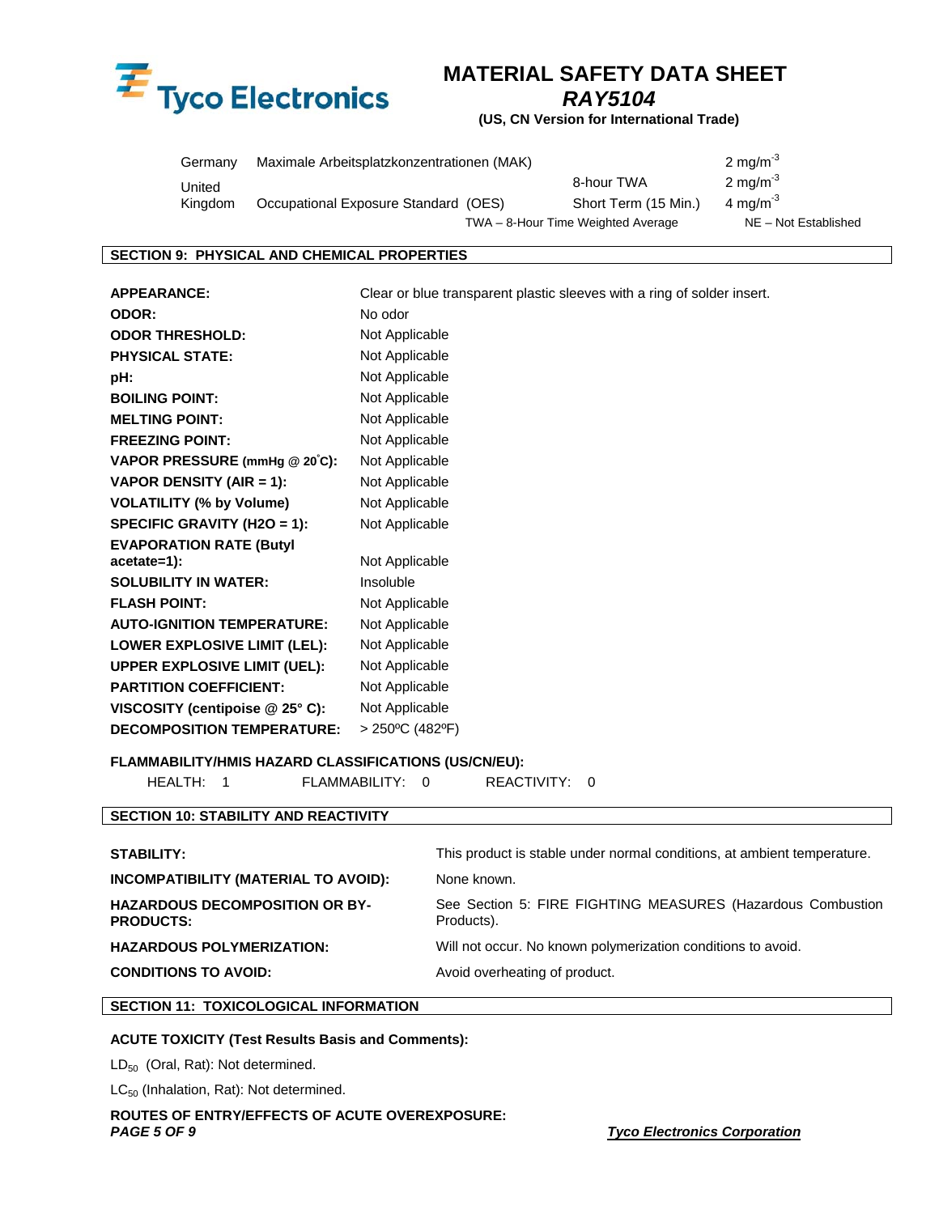

*RAY5104* 

**(US, CN Version for International Trade)** 

| Germany | Maximale Arbeitsplatzkonzentrationen (MAK) |                                    | 2 mg/m <sup>-3</sup>  |
|---------|--------------------------------------------|------------------------------------|-----------------------|
| United  |                                            | 8-hour TWA                         | $2 \text{ mg/m}^{-3}$ |
| Kingdom | Occupational Exposure Standard (OES)       | Short Term (15 Min.)               | 4 ma/m <sup>-3</sup>  |
|         |                                            | TWA - 8-Hour Time Weighted Average | NE - Not Established  |

### **SECTION 9: PHYSICAL AND CHEMICAL PROPERTIES**

**APPEARANCE:** Clear or blue transparent plastic sleeves with a ring of solder insert. **ODOR:** No odor **ODOR THRESHOLD:** Not Applicable **PHYSICAL STATE:** Not Applicable **pH:** Not Applicable **BOILING POINT:** Not Applicable **MELTING POINT:** Not Applicable **FREEZING POINT:** Not Applicable **VAPOR PRESSURE (mmHg @ 20º C):** Not Applicable **VAPOR DENSITY (AIR = 1):** Not Applicable **VOLATILITY (% by Volume)** Not Applicable **SPECIFIC GRAVITY (H2O = 1):** Not Applicable **EVAPORATION RATE (Butyl acetate=1):** Not Applicable **SOLUBILITY IN WATER:** Insoluble **FLASH POINT:** Not Applicable **AUTO-IGNITION TEMPERATURE:** Not Applicable LOWER EXPLOSIVE LIMIT (LEL): Not Applicable **UPPER EXPLOSIVE LIMIT (UEL):** Not Applicable **PARTITION COEFFICIENT:** Not Applicable **VISCOSITY (centipoise @ 25° C):** Not Applicable **DECOMPOSITION TEMPERATURE:** > 250ºC (482ºF)

### **FLAMMABILITY/HMIS HAZARD CLASSIFICATIONS (US/CN/EU):**

HEALTH: 1 FLAMMABILITY: 0 REACTIVITY: 0

### **SECTION 10: STABILITY AND REACTIVITY**

| <b>STABILITY:</b>                           | This product is stable under normal conditions, at ambient temperature. |
|---------------------------------------------|-------------------------------------------------------------------------|
| <b>INCOMPATIBILITY (MATERIAL TO AVOID):</b> | None known.                                                             |
| <b>HAZARDOUS DECOMPOSITION OR BY-</b>       | See Section 5: FIRE FIGHTING MEASURES (Hazardous Combustion             |
| <b>PRODUCTS:</b>                            | Products).                                                              |
| <b>HAZARDOUS POLYMERIZATION:</b>            | Will not occur. No known polymerization conditions to avoid.            |
| <b>CONDITIONS TO AVOID:</b>                 | Avoid overheating of product.                                           |

### **SECTION 11: TOXICOLOGICAL INFORMATION**

### **ACUTE TOXICITY (Test Results Basis and Comments):**

LD<sub>50</sub> (Oral, Rat): Not determined.

LC<sub>50</sub> (Inhalation, Rat): Not determined.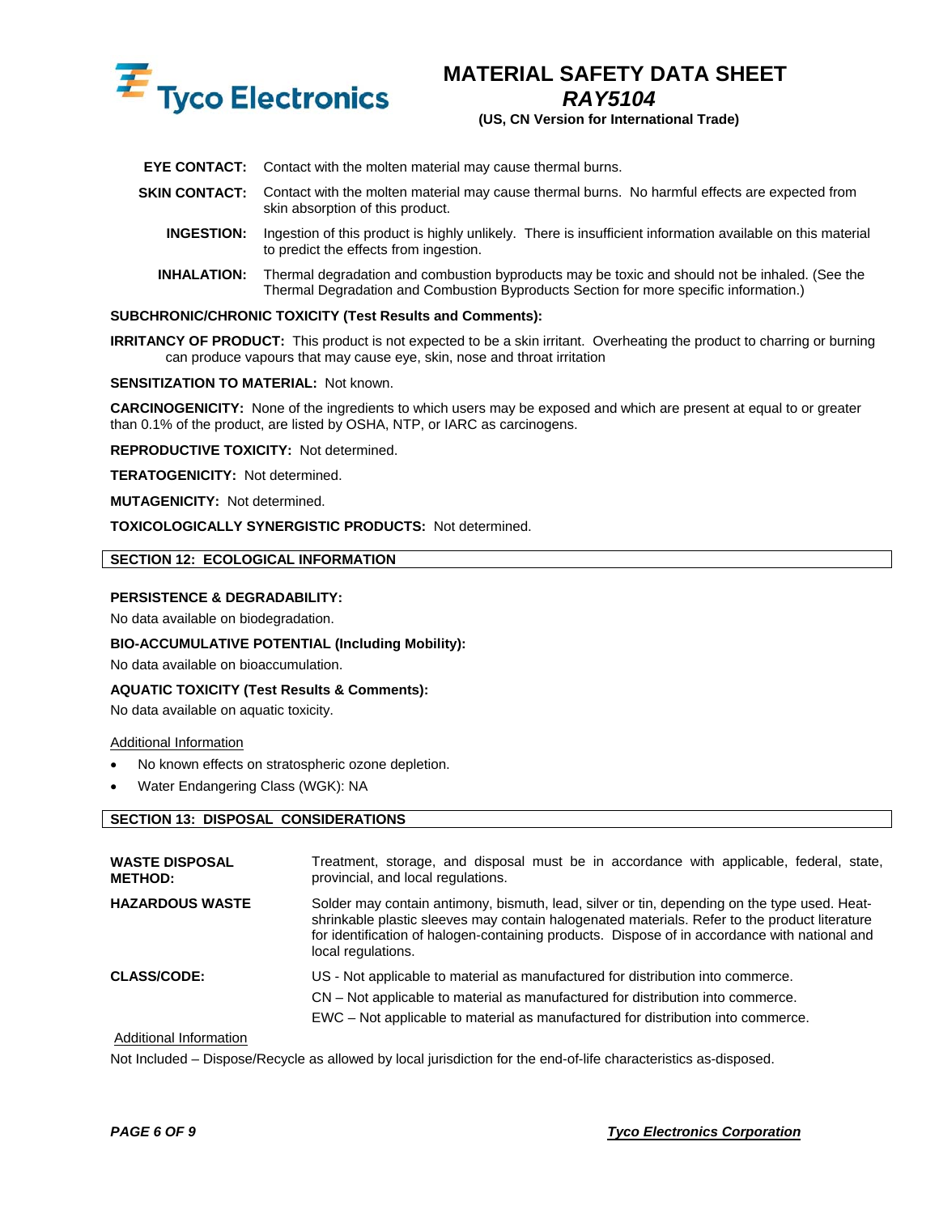

*RAY5104* 

**(US, CN Version for International Trade)** 

- **EYE CONTACT:** Contact with the molten material may cause thermal burns.
- **SKIN CONTACT:** Contact with the molten material may cause thermal burns. No harmful effects are expected from skin absorption of this product.
	- **INGESTION:** Ingestion of this product is highly unlikely. There is insufficient information available on this material to predict the effects from ingestion.
	- **INHALATION:** Thermal degradation and combustion byproducts may be toxic and should not be inhaled. (See the Thermal Degradation and Combustion Byproducts Section for more specific information.)

### **SUBCHRONIC/CHRONIC TOXICITY (Test Results and Comments):**

**IRRITANCY OF PRODUCT:** This product is not expected to be a skin irritant. Overheating the product to charring or burning can produce vapours that may cause eye, skin, nose and throat irritation

### **SENSITIZATION TO MATERIAL:** Not known.

**CARCINOGENICITY:** None of the ingredients to which users may be exposed and which are present at equal to or greater than 0.1% of the product, are listed by OSHA, NTP, or IARC as carcinogens.

**REPRODUCTIVE TOXICITY:** Not determined.

**TERATOGENICITY:** Not determined.

**MUTAGENICITY:** Not determined.

**TOXICOLOGICALLY SYNERGISTIC PRODUCTS:** Not determined.

### **SECTION 12: ECOLOGICAL INFORMATION**

### **PERSISTENCE & DEGRADABILITY:**

No data available on biodegradation.

#### **BIO-ACCUMULATIVE POTENTIAL (Including Mobility):**

No data available on bioaccumulation.

### **AQUATIC TOXICITY (Test Results & Comments):**

No data available on aquatic toxicity.

#### Additional Information

- No known effects on stratospheric ozone depletion.
- Water Endangering Class (WGK): NA

### **SECTION 13: DISPOSAL CONSIDERATIONS**

| <b>WASTE DISPOSAL</b><br><b>METHOD:</b> | Treatment, storage, and disposal must be in accordance with applicable, federal, state,<br>provincial, and local regulations.                                                                                                                                                                                        |
|-----------------------------------------|----------------------------------------------------------------------------------------------------------------------------------------------------------------------------------------------------------------------------------------------------------------------------------------------------------------------|
| <b>HAZARDOUS WASTE</b>                  | Solder may contain antimony, bismuth, lead, silver or tin, depending on the type used. Heat-<br>shrinkable plastic sleeves may contain halogenated materials. Refer to the product literature<br>for identification of halogen-containing products. Dispose of in accordance with national and<br>local regulations. |
| <b>CLASS/CODE:</b>                      | US - Not applicable to material as manufactured for distribution into commerce.<br>CN – Not applicable to material as manufactured for distribution into commerce.<br>EWC – Not applicable to material as manufactured for distribution into commerce.                                                               |

### Additional Information

Not Included – Dispose/Recycle as allowed by local jurisdiction for the end-of-life characteristics as-disposed.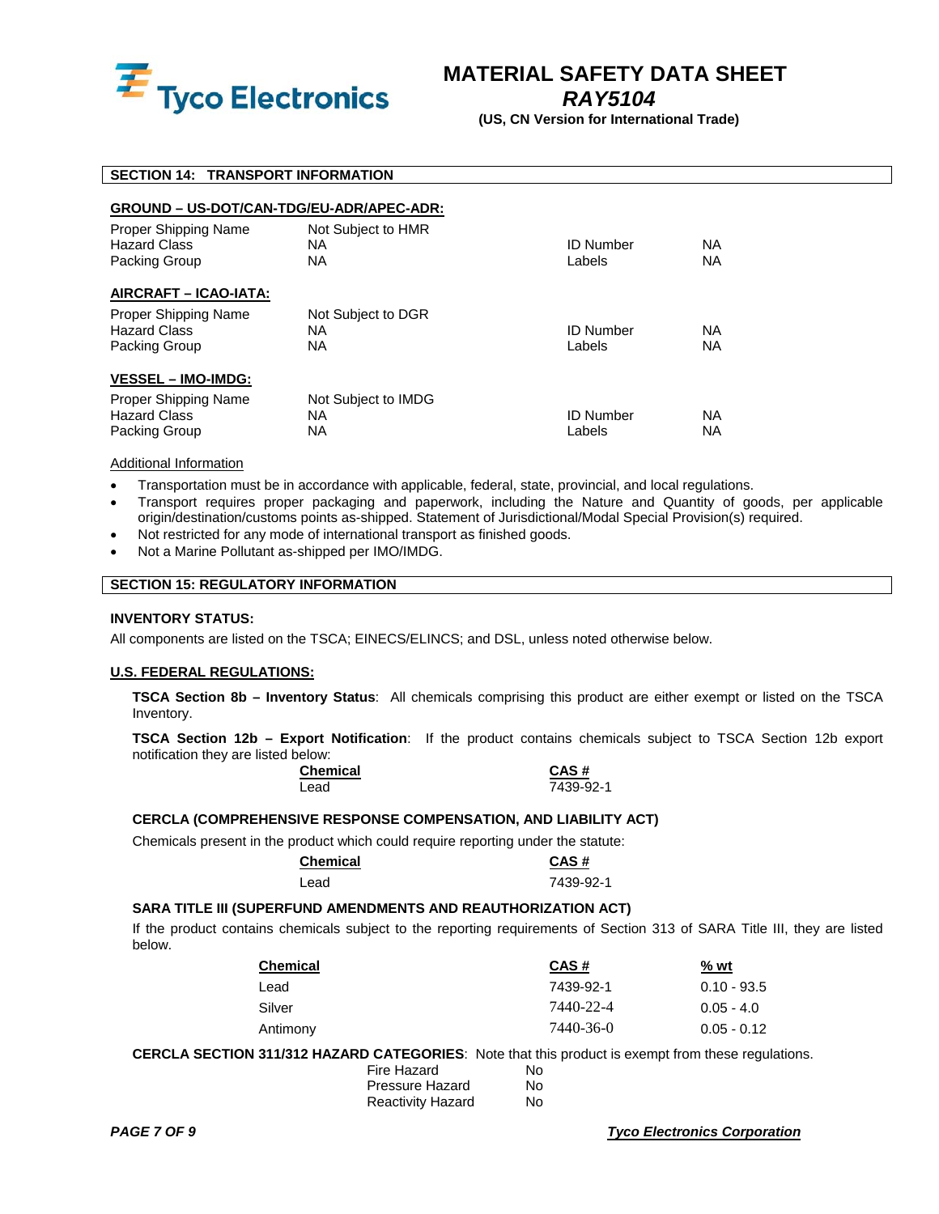

*RAY5104* 

**(US, CN Version for International Trade)** 

### **SECTION 14: TRANSPORT INFORMATION**

### **GROUND – US-DOT/CAN-TDG/EU-ADR/APEC-ADR:**

| Proper Shipping Name<br><b>Hazard Class</b><br>Packing Group | Not Subject to HMR<br><b>NA</b><br><b>NA</b>  | <b>ID Number</b><br>Labels | ΝA<br><b>NA</b>        |
|--------------------------------------------------------------|-----------------------------------------------|----------------------------|------------------------|
| AIRCRAFT - ICAO-IATA:                                        |                                               |                            |                        |
| Proper Shipping Name<br><b>Hazard Class</b><br>Packing Group | Not Subject to DGR<br><b>NA</b><br><b>NA</b>  | <b>ID Number</b><br>Labels | ΝA<br><b>NA</b>        |
| <b>VESSEL – IMO-IMDG:</b>                                    |                                               |                            |                        |
| Proper Shipping Name<br><b>Hazard Class</b><br>Packing Group | Not Subject to IMDG<br><b>NA</b><br><b>NA</b> | <b>ID Number</b><br>Labels | <b>NA</b><br><b>NA</b> |

### Additional Information

- Transportation must be in accordance with applicable, federal, state, provincial, and local regulations.
- Transport requires proper packaging and paperwork, including the Nature and Quantity of goods, per applicable origin/destination/customs points as-shipped. Statement of Jurisdictional/Modal Special Provision(s) required.
- Not restricted for any mode of international transport as finished goods.
- Not a Marine Pollutant as-shipped per IMO/IMDG.

### **SECTION 15: REGULATORY INFORMATION**

### **INVENTORY STATUS:**

All components are listed on the TSCA; EINECS/ELINCS; and DSL, unless noted otherwise below.

### **U.S. FEDERAL REGULATIONS:**

**TSCA Section 8b – Inventory Status**: All chemicals comprising this product are either exempt or listed on the TSCA Inventory.

**TSCA Section 12b – Export Notification**: If the product contains chemicals subject to TSCA Section 12b export notification they are listed below:

| <b>Chemical</b> | CAS#      |
|-----------------|-----------|
| ∟ead            | 7439-92-1 |

### **CERCLA (COMPREHENSIVE RESPONSE COMPENSATION, AND LIABILITY ACT)**

Chemicals present in the product which could require reporting under the statute:

| <b>Chemical</b> | CAS#      |
|-----------------|-----------|
| Lead            | 7439-92-1 |

### **SARA TITLE III (SUPERFUND AMENDMENTS AND REAUTHORIZATION ACT)**

If the product contains chemicals subject to the reporting requirements of Section 313 of SARA Title III, they are listed below.

| <b>Chemical</b> | CAS#      | <u>% wt</u>   |
|-----------------|-----------|---------------|
| ∟ead            | 7439-92-1 | $0.10 - 93.5$ |
| Silver          | 7440-22-4 | $0.05 - 4.0$  |
| Antimony        | 7440-36-0 | $0.05 - 0.12$ |

 **CERCLA SECTION 311/312 HAZARD CATEGORIES**: Note that this product is exempt from these regulations.

| Fire Hazard              | N٥ |
|--------------------------|----|
| Pressure Hazard          | N٥ |
| <b>Reactivity Hazard</b> | N٥ |

**PAGE 7 OF 9** Tyco Electronics Corporation *PAGE 7 OF 9* Tyco Electronics Corporation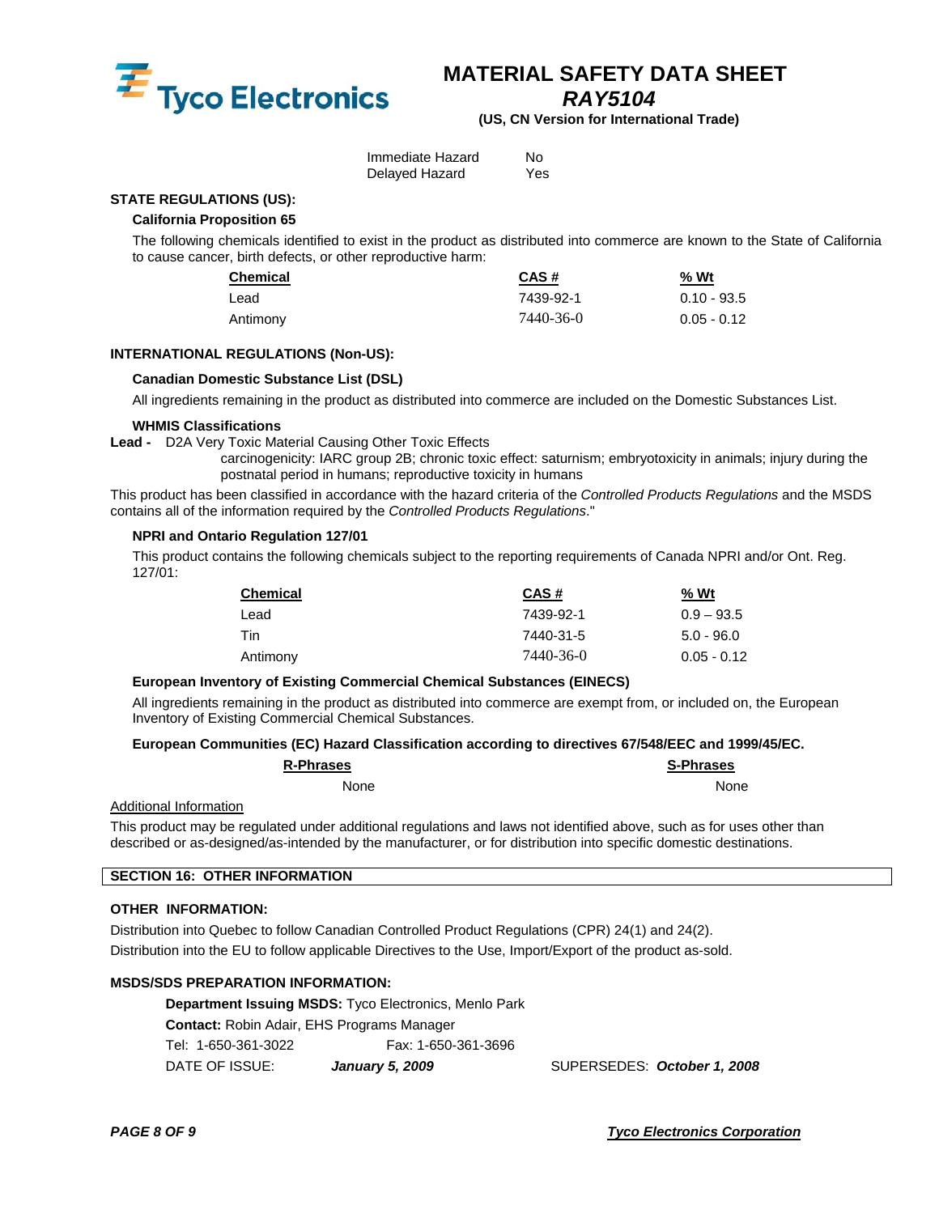

*RAY5104* 

**(US, CN Version for International Trade)** 

| Immediate Hazard | N٥  |
|------------------|-----|
| Delayed Hazard   | Yes |

### **STATE REGULATIONS (US):**

### **California Proposition 65**

The following chemicals identified to exist in the product as distributed into commerce are known to the State of California to cause cancer, birth defects, or other reproductive harm:

| <b>Chemical</b> | CAS#      | % Wt          |
|-----------------|-----------|---------------|
| Lead            | 7439-92-1 | $0.10 - 93.5$ |
| Antimony        | 7440-36-0 | $0.05 - 0.12$ |

### **INTERNATIONAL REGULATIONS (Non-US):**

### **Canadian Domestic Substance List (DSL)**

All ingredients remaining in the product as distributed into commerce are included on the Domestic Substances List.

### **WHMIS Classifications**

**Lead -** D2A Very Toxic Material Causing Other Toxic Effects

 carcinogenicity: IARC group 2B; chronic toxic effect: saturnism; embryotoxicity in animals; injury during the postnatal period in humans; reproductive toxicity in humans

This product has been classified in accordance with the hazard criteria of the *Controlled Products Regulations* and the MSDS contains all of the information required by the *Controlled Products Regulations*."

### **NPRI and Ontario Regulation 127/01**

This product contains the following chemicals subject to the reporting requirements of Canada NPRI and/or Ont. Reg. 127/01:

| <b>Chemical</b> | CAS#      | <u>% Wt</u>   |
|-----------------|-----------|---------------|
| Lead            | 7439-92-1 | $0.9 - 93.5$  |
| Tin             | 7440-31-5 | $5.0 - 96.0$  |
| Antimony        | 7440-36-0 | $0.05 - 0.12$ |

### **European Inventory of Existing Commercial Chemical Substances (EINECS)**

All ingredients remaining in the product as distributed into commerce are exempt from, or included on, the European Inventory of Existing Commercial Chemical Substances.

### **European Communities (EC) Hazard Classification according to directives 67/548/EEC and 1999/45/EC.**

| <b>R-Phrases</b> | <b>S-Phrases</b> |
|------------------|------------------|
| None             | None             |

### Additional Information

This product may be regulated under additional regulations and laws not identified above, such as for uses other than described or as-designed/as-intended by the manufacturer, or for distribution into specific domestic destinations.

### **SECTION 16: OTHER INFORMATION**

### **OTHER INFORMATION:**

Distribution into Quebec to follow Canadian Controlled Product Regulations (CPR) 24(1) and 24(2). Distribution into the EU to follow applicable Directives to the Use, Import/Export of the product as-sold.

### **MSDS/SDS PREPARATION INFORMATION:**

**Department Issuing MSDS:** Tyco Electronics, Menlo Park **Contact:** Robin Adair, EHS Programs Manager Tel: 1-650-361-3022 Fax: 1-650-361-3696 DATE OF ISSUE: *January 5, 2009* SUPERSEDES: *October 1, 2008*